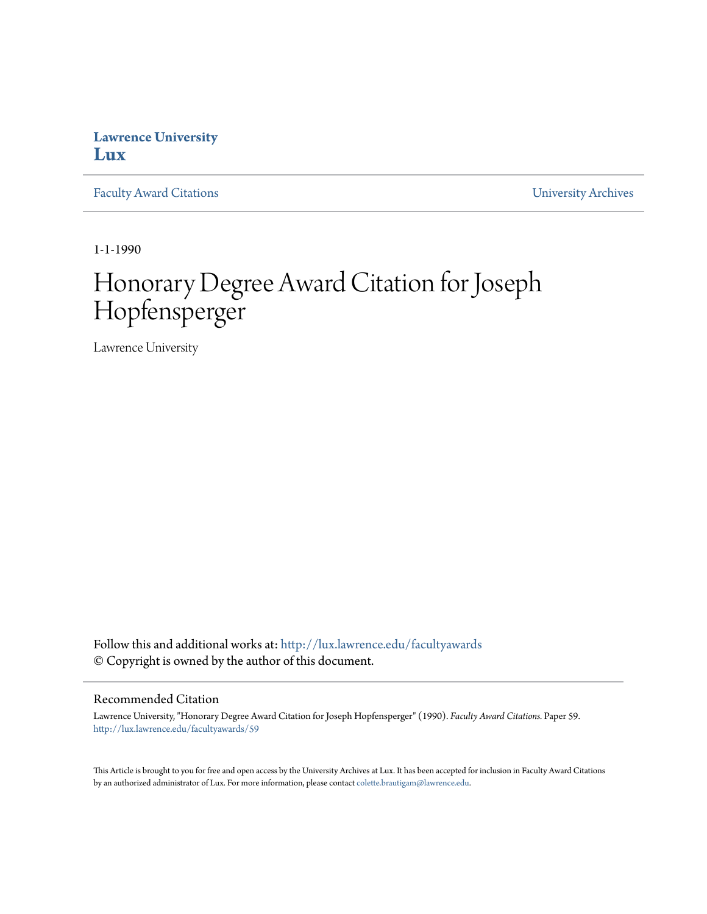## **Lawrence University [Lux](http://lux.lawrence.edu?utm_source=lux.lawrence.edu%2Ffacultyawards%2F59&utm_medium=PDF&utm_campaign=PDFCoverPages)**

[Faculty Award Citations](http://lux.lawrence.edu/facultyawards?utm_source=lux.lawrence.edu%2Ffacultyawards%2F59&utm_medium=PDF&utm_campaign=PDFCoverPages) **Example 2018** [University Archives](http://lux.lawrence.edu/archives?utm_source=lux.lawrence.edu%2Ffacultyawards%2F59&utm_medium=PDF&utm_campaign=PDFCoverPages)

1-1-1990

# Honorary Degree Award Citation for Joseph Hopfensperger

Lawrence University

Follow this and additional works at: [http://lux.lawrence.edu/facultyawards](http://lux.lawrence.edu/facultyawards?utm_source=lux.lawrence.edu%2Ffacultyawards%2F59&utm_medium=PDF&utm_campaign=PDFCoverPages) © Copyright is owned by the author of this document.

#### Recommended Citation

Lawrence University, "Honorary Degree Award Citation for Joseph Hopfensperger" (1990). *Faculty Award Citations.* Paper 59. [http://lux.lawrence.edu/facultyawards/59](http://lux.lawrence.edu/facultyawards/59?utm_source=lux.lawrence.edu%2Ffacultyawards%2F59&utm_medium=PDF&utm_campaign=PDFCoverPages)

This Article is brought to you for free and open access by the University Archives at Lux. It has been accepted for inclusion in Faculty Award Citations by an authorized administrator of Lux. For more information, please contact [colette.brautigam@lawrence.edu](mailto:colette.brautigam@lawrence.edu).